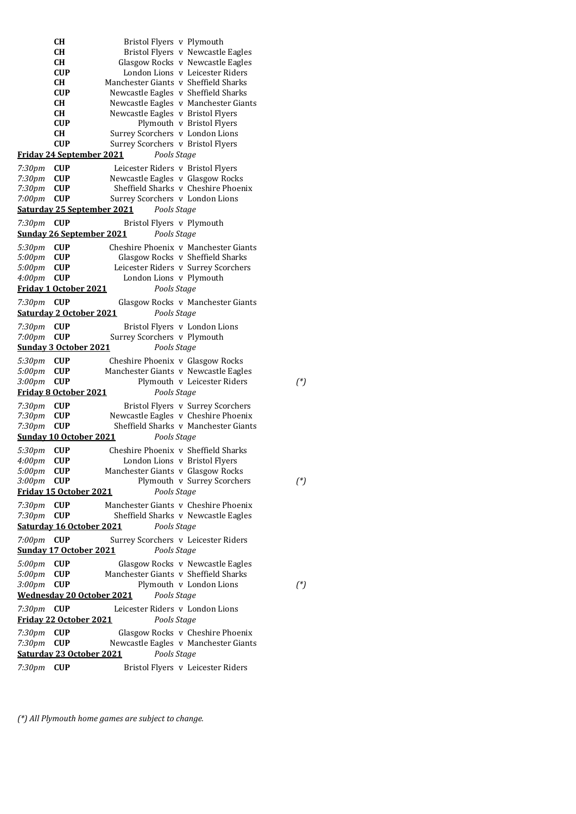|                              | <b>CH</b>                | Bristol Flyers v Plymouth                                               |          |
|------------------------------|--------------------------|-------------------------------------------------------------------------|----------|
|                              | CН                       | Bristol Flyers v Newcastle Eagles                                       |          |
|                              | CН                       | Glasgow Rocks v Newcastle Eagles                                        |          |
|                              | <b>CUP</b>               | London Lions v Leicester Riders                                         |          |
|                              | CН                       | Manchester Giants v Sheffield Sharks                                    |          |
|                              | <b>CUP</b>               | Newcastle Eagles v Sheffield Sharks                                     |          |
|                              | CН                       | Newcastle Eagles v Manchester Giants                                    |          |
|                              | CН                       | Newcastle Eagles v Bristol Flyers                                       |          |
|                              | CUP                      | Plymouth v Bristol Flyers                                               |          |
|                              | CН<br><b>CUP</b>         | Surrey Scorchers v London Lions<br>Surrey Scorchers v Bristol Flyers    |          |
|                              |                          | <u>Friday 24 September 2021</u><br>Pools Stage                          |          |
|                              |                          |                                                                         |          |
| 7:30pm                       | <b>CUP</b>               | Leicester Riders v Bristol Flyers                                       |          |
| 7:30 <sub>pm</sub>           | <b>CUP</b>               | Newcastle Eagles v Glasgow Rocks<br>Sheffield Sharks v Cheshire Phoenix |          |
| 7:30 <sub>pm</sub><br>7:00pm | <b>CUP</b><br><b>CUP</b> | Surrey Scorchers v London Lions                                         |          |
|                              |                          | Saturday 25 September 2021<br>Pools Stage                               |          |
|                              |                          |                                                                         |          |
| 7:30pm                       | <b>CUP</b>               | Bristol Flyers v Plymouth                                               |          |
|                              |                          | <b>Sunday 26 September 2021</b><br>Pools Stage                          |          |
| 5:30pm                       | <b>CUP</b>               | Cheshire Phoenix v Manchester Giants                                    |          |
| 5:00pm                       | <b>CUP</b>               | Glasgow Rocks v Sheffield Sharks                                        |          |
| 5:00pm                       | <b>CUP</b>               | Leicester Riders v Surrey Scorchers                                     |          |
| 4:00 <sub>pm</sub>           | <b>CUP</b>               | London Lions v Plymouth                                                 |          |
|                              |                          | Friday 1 October 2021<br>Pools Stage                                    |          |
| 7:30pm                       | <b>CUP</b>               | Glasgow Rocks v Manchester Giants                                       |          |
|                              |                          | <b>Saturday 2 October 2021</b><br>Pools Stage                           |          |
| 7:30pm                       | <b>CUP</b>               | Bristol Flyers v London Lions                                           |          |
| 7:00pm                       | <b>CUP</b>               | Surrey Scorchers v Plymouth                                             |          |
|                              |                          | Pools Stage<br><b>Sunday 3 October 2021</b>                             |          |
| 5:30pm                       | <b>CUP</b>               | Cheshire Phoenix v Glasgow Rocks                                        |          |
| 5:00pm                       | <b>CUP</b>               | Manchester Giants v Newcastle Eagles                                    |          |
| 3:00pm                       | <b>CUP</b>               | Plymouth v Leicester Riders                                             | $({}^*)$ |
|                              |                          | <b>Friday 8 October 2021</b><br>Pools Stage                             |          |
| 7:30pm                       | <b>CUP</b>               | Bristol Flyers v Surrey Scorchers                                       |          |
| 7:30 <sub>pm</sub>           | <b>CUP</b>               | Newcastle Eagles v Cheshire Phoenix                                     |          |
| 7:30 <sub>pm</sub>           | <b>CUP</b>               | Sheffield Sharks v Manchester Giants                                    |          |
|                              |                          | <b>Sunday 10 October 2021</b><br>Pools Stage                            |          |
|                              |                          | Cheshire Phoenix v Sheffield Sharks                                     |          |
| 5:30pm<br>4:00pm             | CUP<br>CUP               | London Lions v Bristol Flyers                                           |          |
| 5:00pm                       | <b>CUP</b>               | Manchester Giants v Glasgow Rocks                                       |          |
| 3:00pm                       | <b>CUP</b>               | Plymouth v Surrey Scorchers                                             | $(^*)$   |
|                              |                          | Friday 15 October 2021<br>Pools Stage                                   |          |
|                              |                          |                                                                         |          |
| 7:30pm                       | <b>CUP</b>               | Manchester Giants v Cheshire Phoenix                                    |          |
| 7:30pm                       | <b>CUP</b>               | Sheffield Sharks v Newcastle Eagles<br>Saturday 16 October 2021         |          |
|                              |                          | Pools Stage                                                             |          |
| 7:00 <sub>pm</sub>           | CUP                      | Surrey Scorchers v Leicester Riders                                     |          |
|                              |                          | Pools Stage<br><u>Sunday 17 October 2021</u>                            |          |
| 5:00pm                       | <b>CUP</b>               | Glasgow Rocks v Newcastle Eagles                                        |          |
| 5:00pm                       | <b>CUP</b>               | Manchester Giants v Sheffield Sharks                                    |          |
| 3:00pm                       | <b>CUP</b>               | Plymouth v London Lions                                                 | $({}^*)$ |
|                              |                          | Pools Stage<br><b>Wednesday 20 October 2021</b>                         |          |
| 7:30pm                       | CUP                      | Leicester Riders v London Lions                                         |          |
|                              |                          | <b>Friday 22 October 2021</b><br>Pools Stage                            |          |
| 7:30pm                       | <b>CUP</b>               | Glasgow Rocks v Cheshire Phoenix                                        |          |
| 7:30pm                       | <b>CUP</b>               | Newcastle Eagles v Manchester Giants                                    |          |
|                              |                          | <b>Saturday 23 October 2021</b><br>Pools Stage                          |          |
|                              | <b>CUP</b>               |                                                                         |          |
| 7:30 <sub>pm</sub>           |                          | Bristol Flyers v Leicester Riders                                       |          |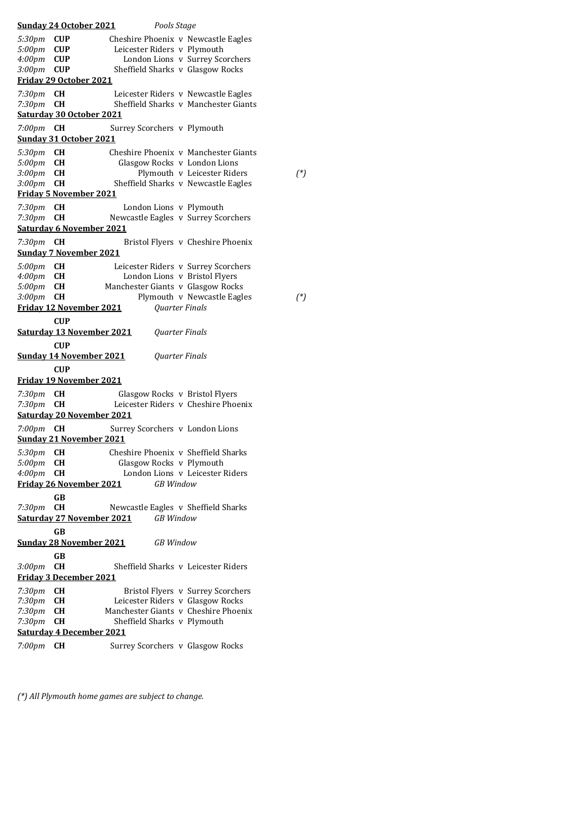|                    | <b>Sunday 24 October 2021</b>    | Pools Stage                         |                                         |
|--------------------|----------------------------------|-------------------------------------|-----------------------------------------|
| 5:30pm             | <b>CUP</b>                       |                                     | Cheshire Phoenix v Newcastle Eagles     |
| 5:00pm             | <b>CUP</b>                       | Leicester Riders v Plymouth         |                                         |
| 4:00 <sub>pm</sub> | <b>CUP</b>                       |                                     | London Lions v Surrey Scorchers         |
| 3:00pm             | <b>CUP</b>                       | Sheffield Sharks v Glasgow Rocks    |                                         |
|                    | <b>Friday 29 October 2021</b>    |                                     |                                         |
| 7:30pm             | CН                               |                                     | Leicester Riders v Newcastle Eagles     |
| 7:30pm             | <b>CH</b>                        |                                     | Sheffield Sharks v Manchester Giants    |
|                    | Saturday 30 October 2021         |                                     |                                         |
| 7:00pm             | CН                               | Surrey Scorchers v Plymouth         |                                         |
|                    | <b>Sunday 31 October 2021</b>    |                                     |                                         |
| 5:30 <sub>pm</sub> | <b>CH</b>                        |                                     | Cheshire Phoenix y Manchester Giants    |
| 5:00pm             | <b>CH</b>                        | Glasgow Rocks v London Lions        |                                         |
| 3:00pm             | <b>CH</b>                        |                                     | Plymouth v Leicester Riders<br>$({}^*)$ |
| 3:00pm             | <b>CH</b>                        |                                     | Sheffield Sharks v Newcastle Eagles     |
|                    | <u>Friday 5 November 2021</u>    |                                     |                                         |
| 7:30pm             | CН                               | London Lions v Plymouth             |                                         |
| 7:30 <sub>pm</sub> | <b>CH</b>                        |                                     | Newcastle Eagles v Surrey Scorchers     |
|                    | <b>Saturday 6 November 2021</b>  |                                     |                                         |
| 7:30pm             | CН                               |                                     | Bristol Flyers v Cheshire Phoenix       |
|                    | <b>Sunday 7 November 2021</b>    |                                     |                                         |
| 5:00pm             | CН                               |                                     | Leicester Riders v Surrey Scorchers     |
| 4:00 <sub>pm</sub> | <b>CH</b>                        |                                     | London Lions v Bristol Flyers           |
| 5:00pm             | <b>CH</b>                        | Manchester Giants v Glasgow Rocks   |                                         |
| 3:00 <sub>pm</sub> | <b>CH</b>                        |                                     | Plymouth v Newcastle Eagles<br>$({}^*)$ |
|                    | <u>Friday 12 November 2021</u>   |                                     | Quarter Finals                          |
|                    | <b>CUP</b>                       |                                     |                                         |
|                    | <b>Saturday 13 November 2021</b> |                                     | Quarter Finals                          |
|                    | <b>CUP</b>                       |                                     |                                         |
|                    | <b>Sunday 14 November 2021</b>   |                                     | Quarter Finals                          |
|                    | <b>CUP</b>                       |                                     |                                         |
|                    | <b>Friday 19 November 2021</b>   |                                     |                                         |
| 7:30pm             | CН                               | Glasgow Rocks v Bristol Flyers      |                                         |
| 7:30pm             | <b>CH</b>                        |                                     | Leicester Riders v Cheshire Phoenix     |
|                    | <b>Saturday 20 November 2021</b> |                                     |                                         |
| $7:00 \text{pm}$   | CН                               | Surrey Scorchers v London Lions     |                                         |
|                    | <b>Sunday 21 November 2021</b>   |                                     |                                         |
| 5:30pm <b>CH</b>   |                                  | Cheshire Phoenix v Sheffield Sharks |                                         |
| 5:00pm             | CН                               | Glasgow Rocks v Plymouth            |                                         |
| 4:00 <sub>pm</sub> | CН                               |                                     | London Lions v Leicester Riders         |
|                    | Friday 26 November 2021          | <b>GB</b> Window                    |                                         |
|                    | GB                               |                                     |                                         |
| 7:30pm             | <b>CH</b>                        | Newcastle Eagles v Sheffield Sharks |                                         |
|                    | <b>Saturday 27 November 2021</b> | <b>GB</b> Window                    |                                         |
|                    | GB                               |                                     |                                         |
|                    | <b>Sunday 28 November 2021</b>   | <b>GB</b> Window                    |                                         |
|                    | GB                               |                                     |                                         |
| 3:00pm             | <b>CH</b>                        |                                     | Sheffield Sharks v Leicester Riders     |
|                    | <b>Friday 3 December 2021</b>    |                                     |                                         |
| 7:30pm             | CН                               |                                     | Bristol Flyers v Surrey Scorchers       |
| 7:30pm             | <b>CH</b>                        | Leicester Riders v Glasgow Rocks    |                                         |
| 7:30pm             | <b>CH</b>                        |                                     | Manchester Giants v Cheshire Phoenix    |
| 7:30pm             | <b>CH</b>                        | Sheffield Sharks v Plymouth         |                                         |
|                    | <b>Saturday 4 December 2021</b>  |                                     |                                         |
| 7:00pm             | <b>CH</b>                        | Surrey Scorchers v Glasgow Rocks    |                                         |
|                    |                                  |                                     |                                         |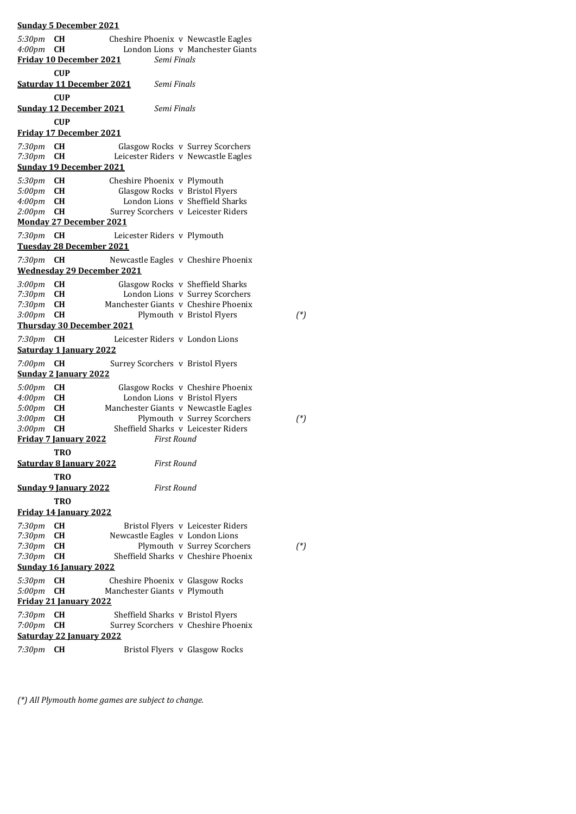**Sunday 5 December 2021** *5:30pm* **CH** Cheshire Phoenix v Newcastle Eagles *London Lions v Manchester Giants* **Friday 10 December 2021** *Semi Finals* **CUP Saturday 11 December 2021** *Semi Finals* **CUP Sunday 12 December 2021** *Semi Finals* **CUP Friday 17 December 2021** *7:30pm* **CH** Glasgow Rocks v Surrey Scorchers Leicester Riders v Newcastle Eagles **Sunday 19 December 2021** *5:30pm* **CH** Cheshire Phoenix v Plymouth 5:00pm **CH** Glasgow Rocks v Bristol Fly **Glasgow Rocks v Bristol Flyers** *4:00pm* **CH** London Lions v Sheffield Sharks *2:00pm* **CH** Surrey Scorchers v Leicester Riders **Monday 27 December 2021** *7:30pm* **CH** Leicester Riders v Plymouth **Tuesday 28 December 2021** *7:30pm* **CH** Newcastle Eagles v Cheshire Phoenix **Wednesday 29 December 2021** *3:00pm* **CH** Glasgow Rocks v Sheffield Sharks 7:30pm **CH** London Lions v Surrey Scorchers<br>7:30pm **CH** Manchester Giants v Cheshire Phoenix *Manchester Giants v Cheshire Phoenix 3:00pm* **CH** Plymouth v Bristol Flyers *(\*)* **Thursday 30 December 2021** *7:30pm* **CH** Leicester Riders v London Lions **Saturday 1 January 2022** *7:00pm* **CH** Surrey Scorchers v Bristol Flyers **Sunday 2 January 2022** *5:00pm* **CH** Glasgow Rocks v Cheshire Phoenix *4:00pm* **CH** London Lions v Bristol Flyers<br>5*:00pm* **CH** Manchester Giants v Newcastle Eas *5:00pm* **CH** Manchester Giants v Newcastle Eagles<br>*3:00pm* **CH** Plymouth v Surrey Scorchers *Plymouth v Surrey Scorchers*  $(*)$ *3:00pm* **CH** Sheffield Sharks v Leicester Riders **Friday 7 January 2022** *First Round* **TRO Saturday 8 January 2022** *First Round* **TRO Sunday 9 January 2022** *First Round* **TRO Friday 14 January 2022** 7:30pm **CH** Bristol Flyers v Leicester Riders<br>7:30pm **CH** Newcastle Eagles v London Lions *7:30pm* **CH** Newcastle Eagles v London Lions *Plymouth v Surrey Scorchers*  $(*)$ *7:30pm* **CH** Sheffield Sharks v Cheshire Phoenix **Sunday 16 January 2022** *5:30pm* **CH** Cheshire Phoenix v Glasgow Rocks Manchester Giants v Plymouth **Friday 21 January 2022** *7:30pm* **CH** Sheffield Sharks v Bristol Flyers *7:00pm* **CH** Surrey Scorchers v Cheshire Phoenix **Saturday 22 January 2022** *7:30pm* **CH** Bristol Flyers v Glasgow Rocks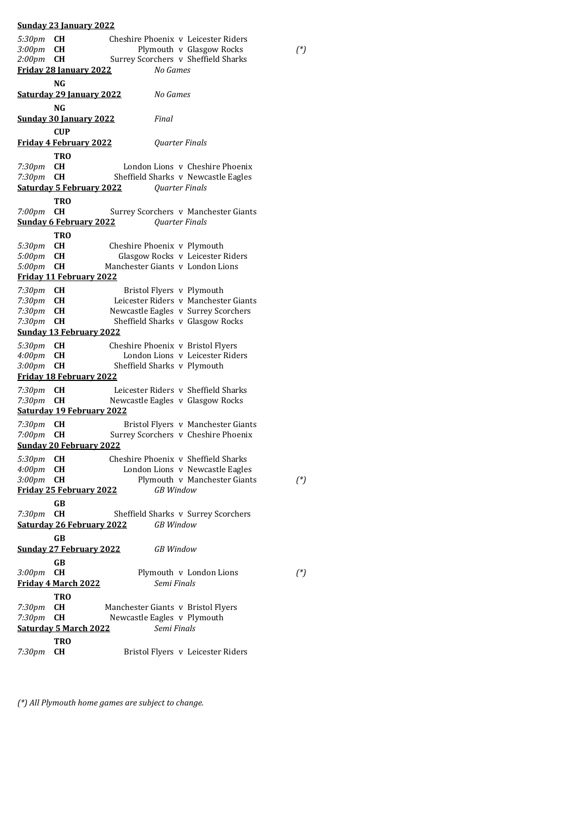*5:30pm* **CH** Cheshire Phoenix v Leicester Riders *Plymouth v Glasgow Rocks*  $(*)$ *2:00pm* **CH** Surrey Scorchers v Sheffield Sharks **Friday 28 January 2022** *No Games* **NG Saturday 29 January 2022** *No Games* **NG Sunday 30 January 2022** *Final* **CUP Friday 4 February 2022** *Quarter Finals* **TRO**<br>*7:30pm* **CH** 7:30pm **CH** London Lions v Cheshire Phoenix<br>7:30pm **CH** Sheffield Sharks v Newcastle Eagles *Sheffield Sharks v Newcastle Eagles* **Saturday 5 February 2022** *Quarter Finals* **TRO** *7:00pm* **CH** Surrey Scorchers v Manchester Giants **Sunday 6 February 2022** *Quarter Finals* **TRO** *5:30pm* **CH** Cheshire Phoenix v Plymouth 5:00pm **CH** Glasgow Rocks v Leicester *5:00pm* **CH** Glasgow Rocks v Leicester Riders *5:00pm* **CH** Manchester Giants v London Lions **Friday 11 February 2022** *7:30pm* **CH** Bristol Flyers v Plymouth 7:30pm **CH** Leicester Riders v Manchester Giants<br>7:30pm **CH** Newcastle Eagles v Surrey Scorchers **Newcastle Eagles v Surrey Scorchers** *7:30pm* **CH** Sheffield Sharks v Glasgow Rocks **Sunday 13 February 2022** *5:30pm* **CH** Cheshire Phoenix v Bristol Flyers London Lions v Leicester Riders *3:00pm* **CH** Sheffield Sharks v Plymouth **Friday 18 February 2022** 7:30pm **CH** Leicester Riders v Sheffield Sharks<br>7:30pm **CH** Newcastle Eagles v Glasgow Rocks *Newcastle Eagles v Glasgow Rocks* **Saturday 19 February 2022** *7:30pm* **CH** Bristol Flyers v Manchester Giants *7:00pm* **CH** Surrey Scorchers v Cheshire Phoenix **Sunday 20 February 2022** *5:30pm* **CH** Cheshire Phoenix v Sheffield Sharks *4:00pm* **CH** London Lions v Newcastle Eagles *3:00pm* **CH** Plymouth v Manchester Giants *(\*)* **Friday 25 February 2022** *GB Window* **GB**<br>7:30pm **CH** *Sheffield Sharks v Surrey Scorchers* **Saturday 26 February 2022** *GB Window* **GB Sunday 27 February 2022** *GB Window* **GB** *3:00pm* **CH** Plymouth v London Lions *(\*)* **Friday 4 March 2022** *Semi Finals* **TRO** *7:30pm* **CH** Manchester Giants v Bristol Flyers *7:30pm* **CH** Newcastle Eagles v Plymouth **Saturday 5 March 2022** *Semi Finals* **TRO** *7:30pm* **CH** Bristol Flyers v Leicester Riders

**Sunday 23 January 2022**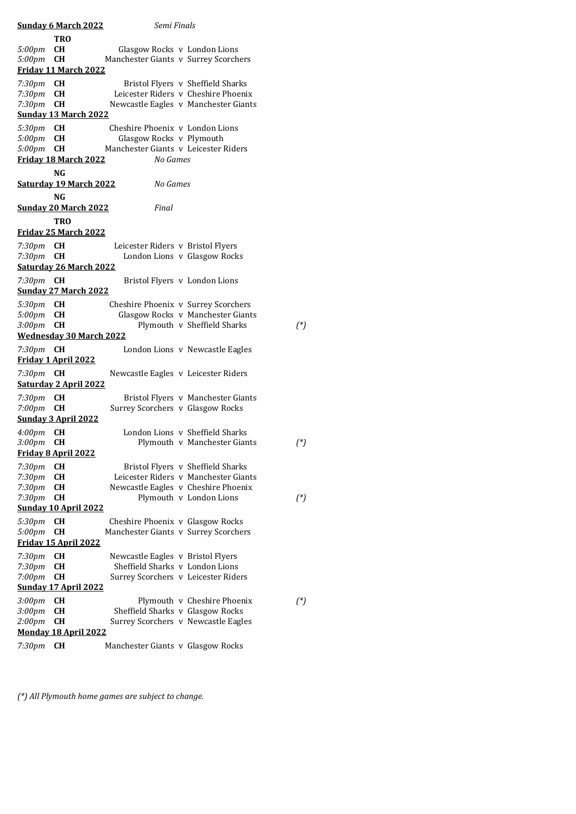|                             | <b>Sunday 6 March 2022</b>                 | Semi Finals                          |  |                                      |          |
|-----------------------------|--------------------------------------------|--------------------------------------|--|--------------------------------------|----------|
|                             | <b>TRO</b>                                 |                                      |  |                                      |          |
| 5:00pm                      | CН                                         | Glasgow Rocks v London Lions         |  |                                      |          |
| 5:00pm                      | <b>CH</b>                                  | Manchester Giants v Surrey Scorchers |  |                                      |          |
|                             | Friday 11 March 2022                       |                                      |  |                                      |          |
| 7:30 <sub>pm</sub>          | <b>CH</b>                                  |                                      |  | Bristol Flyers v Sheffield Sharks    |          |
| 7:30pm                      | <b>CH</b>                                  |                                      |  | Leicester Riders v Cheshire Phoenix  |          |
| 7:30pm                      | <b>CH</b>                                  |                                      |  | Newcastle Eagles v Manchester Giants |          |
|                             | <b>Sunday 13 March 2022</b>                |                                      |  |                                      |          |
| 5:30pm                      | <b>CH</b>                                  | Cheshire Phoenix y London Lions      |  |                                      |          |
| 5:00pm                      | <b>CH</b>                                  | Glasgow Rocks v Plymouth             |  |                                      |          |
| 5:00pm                      | <b>CH</b>                                  | Manchester Giants v Leicester Riders |  |                                      |          |
|                             | Friday 18 March 2022                       | No Games                             |  |                                      |          |
|                             | NG                                         |                                      |  |                                      |          |
|                             | <b>Saturday 19 March 2022</b>              | No Games                             |  |                                      |          |
|                             | NG                                         |                                      |  |                                      |          |
|                             | <b>Sunday 20 March 2022</b>                | Final                                |  |                                      |          |
|                             | <b>TRO</b>                                 |                                      |  |                                      |          |
|                             | Friday 25 March 2022                       |                                      |  |                                      |          |
|                             |                                            |                                      |  |                                      |          |
| 7:30 <sub>pm</sub>          | CН                                         | Leicester Riders v Bristol Flyers    |  |                                      |          |
| 7:30pm                      | <b>CH</b><br><b>Saturday 26 March 2022</b> |                                      |  | London Lions v Glasgow Rocks         |          |
|                             |                                            |                                      |  |                                      |          |
| 7:30pm                      | CН                                         |                                      |  | Bristol Flyers v London Lions        |          |
|                             | <b>Sunday 27 March 2022</b>                |                                      |  |                                      |          |
| 5:30pm                      | <b>CH</b>                                  | Cheshire Phoenix v Surrey Scorchers  |  |                                      |          |
| 5:00pm                      | <b>CH</b>                                  |                                      |  | Glasgow Rocks v Manchester Giants    |          |
| 3:00 <sub>pm</sub>          | <b>CH</b>                                  |                                      |  | Plymouth v Sheffield Sharks          | $({}^*)$ |
|                             | <b>Wednesday 30 March 2022</b>             |                                      |  |                                      |          |
| 7:30 <sub>pm</sub>          | CН                                         |                                      |  | London Lions v Newcastle Eagles      |          |
|                             | Friday 1 April 2022                        |                                      |  |                                      |          |
| 7:30 <sub>pm</sub>          | CН                                         | Newcastle Eagles v Leicester Riders  |  |                                      |          |
|                             | <b>Saturday 2 April 2022</b>               |                                      |  |                                      |          |
| 7:30pm                      | CН                                         |                                      |  | Bristol Flyers v Manchester Giants   |          |
| 7:00pm                      | <b>CH</b>                                  | Surrey Scorchers v Glasgow Rocks     |  |                                      |          |
|                             | <b>Sunday 3 April 2022</b>                 |                                      |  |                                      |          |
| 4:00 <sub>pm</sub>          | <b>CH</b>                                  |                                      |  | London Lions v Sheffield Sharks      |          |
| 3:00 <sub>pm</sub>          | <b>CH</b>                                  |                                      |  | Plymouth v Manchester Giants         | $({}^*)$ |
|                             | Friday 8 April 2022                        |                                      |  |                                      |          |
| 7:30pm                      | <b>CH</b>                                  |                                      |  | Bristol Flyers v Sheffield Sharks    |          |
| 7:30pm                      | <b>CH</b>                                  |                                      |  | Leicester Riders v Manchester Giants |          |
| 7:30pm                      | <b>CH</b>                                  |                                      |  | Newcastle Eagles v Cheshire Phoenix  |          |
| 7:30pm                      | <b>CH</b>                                  |                                      |  | Plymouth v London Lions              | $({}^*)$ |
|                             | <b>Sunday 10 April 2022</b>                |                                      |  |                                      |          |
| 5:30pm                      | CН                                         | Cheshire Phoenix v Glasgow Rocks     |  |                                      |          |
| 5:00pm                      | <b>CH</b>                                  | Manchester Giants v Surrey Scorchers |  |                                      |          |
|                             | Friday 15 April 2022                       |                                      |  |                                      |          |
| 7:30pm                      | CН                                         | Newcastle Eagles v Bristol Flyers    |  |                                      |          |
| 7:30pm                      | CН                                         | Sheffield Sharks v London Lions      |  |                                      |          |
| $7:00$ pm                   | <b>CH</b>                                  | Surrey Scorchers v Leicester Riders  |  |                                      |          |
|                             | <b>Sunday 17 April 2022</b>                |                                      |  |                                      |          |
| 3:00pm                      | <b>CH</b>                                  |                                      |  | Plymouth v Cheshire Phoenix          | $({}^*)$ |
| 3:00 <sub>pm</sub>          | <b>CH</b>                                  | Sheffield Sharks v Glasgow Rocks     |  |                                      |          |
| 2:00 <sub>pm</sub>          | <b>CH</b>                                  |                                      |  | Surrey Scorchers v Newcastle Eagles  |          |
| <b>Monday 18 April 2022</b> |                                            |                                      |  |                                      |          |
| 7:30pm                      | CН                                         | Manchester Giants v Glasgow Rocks    |  |                                      |          |